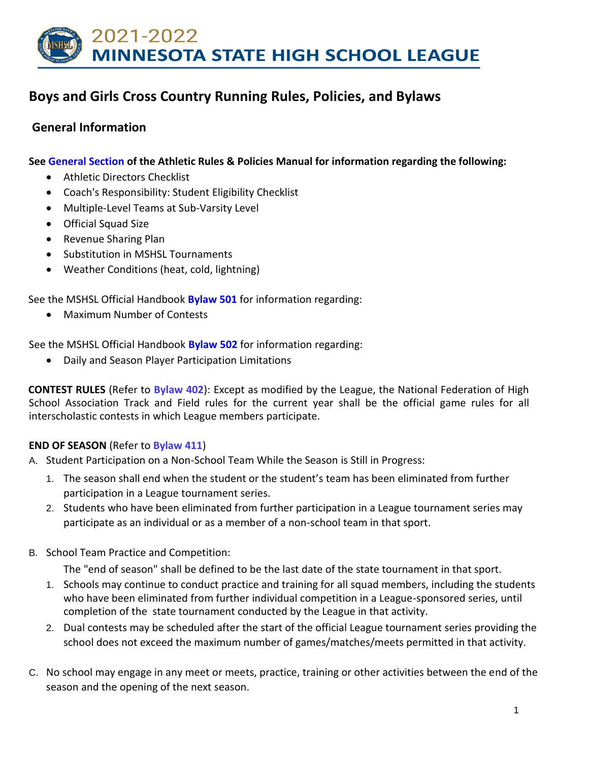

# **Boys and Girls Cross Country Running Rules, Policies, and Bylaws**

## **General Information**

**See [General Section](http://www.mshsl.org/mshsl/publications/code/athletic/GeneralInfo.htm#CONTENTS) [of](http://www.mshsl.org/mshsl/publications/code/athletic/GeneralInfo.htm#CONTENTS) the Athletic Rules & Policies Manual for information regarding the following:**

- Athletic Directors Checklist
- Coach's Responsibility: Student Eligibility Checklist
- Multiple-Level Teams at Sub-Varsity Level
- Official Squad Size
- Revenue Sharing Plan
- Substitution in MSHSL Tournaments
- Weather Conditions (heat, cold, lightning)

See the MSHSL Official Handbook **[Bylaw 501](http://www.mshsl.org/mshsl/publications/code/handbook/500%20Bylaws.doc)** [fo](http://www.mshsl.org/mshsl/publications/code/handbook/500%20Bylaws.doc)r information regarding:

• Maximum Number of Contests

See the MSHSL Official Handbook **[Bylaw 502](http://www.mshsl.org/mshsl/publications/code/handbook/500%20Bylaws.doc)** [fo](http://www.mshsl.org/mshsl/publications/code/handbook/500%20Bylaws.doc)r information regarding:

• Daily and Season Player Participation Limitations

**CONTEST RULES** (Refer to **Bylaw 402**): Except as modified by the League, the National Federation of High School Association Track and Field rules for the current year shall be the official game rules for all interscholastic contests in which League members participate.

### **END OF SEASON** (Refer to **Bylaw 411**)

A. Student Participation on a Non-School Team While the Season is Still in Progress:

- 1. The season shall end when the student or the student's team has been eliminated from further participation in a League tournament series.
- 2. Students who have been eliminated from further participation in a League tournament series may participate as an individual or as a member of a non-school team in that sport.
- B. School Team Practice and Competition:

The "end of season" shall be defined to be the last date of the state tournament in that sport.

- 1. Schools may continue to conduct practice and training for all squad members, including the students who have been eliminated from further individual competition in a League-sponsored series, until completion of the state tournament conducted by the League in that activity.
- 2. Dual contests may be scheduled after the start of the official League tournament series providing the school does not exceed the maximum number of games/matches/meets permitted in that activity.
- C. No school may engage in any meet or meets, practice, training or other activities between the end of the season and the opening of the next season.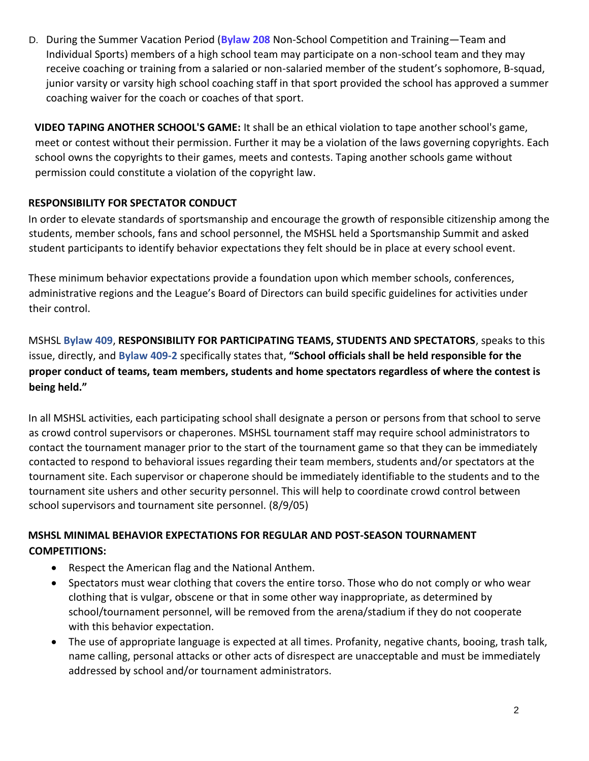D. During the Summer Vacation Period (**Bylaw 208** Non-School Competition and Training—Team and Individual Sports) members of a high school team may participate on a non-school team and they may receive coaching or training from a salaried or non-salaried member of the student's sophomore, B-squad, junior varsity or varsity high school coaching staff in that sport provided the school has approved a summer coaching waiver for the coach or coaches of that sport.

**VIDEO TAPING ANOTHER SCHOOL'S GAME:** It shall be an ethical violation to tape another school's game, meet or contest without their permission. Further it may be a violation of the laws governing copyrights. Each school owns the copyrights to their games, meets and contests. Taping another schools game without permission could constitute a violation of the copyright law.

### **RESPONSIBILITY FOR SPECTATOR CONDUCT**

In order to elevate standards of sportsmanship and encourage the growth of responsible citizenship among the students, member schools, fans and school personnel, the MSHSL held a Sportsmanship Summit and asked student participants to identify behavior expectations they felt should be in place at every school event.

These minimum behavior expectations provide a foundation upon which member schools, conferences, administrative regions and the League's Board of Directors can build specific guidelines for activities under their control.

MSHSL **Bylaw 409**, **RESPONSIBILITY FOR PARTICIPATING TEAMS, STUDENTS AND SPECTATORS**, speaks to this issue, directly, and **Bylaw 409-2** specifically states that, **"School officials shall be held responsible for the proper conduct of teams, team members, students and home spectators regardless of where the contest is being held."** 

In all MSHSL activities, each participating school shall designate a person or persons from that school to serve as crowd control supervisors or chaperones. MSHSL tournament staff may require school administrators to contact the tournament manager prior to the start of the tournament game so that they can be immediately contacted to respond to behavioral issues regarding their team members, students and/or spectators at the tournament site. Each supervisor or chaperone should be immediately identifiable to the students and to the tournament site ushers and other security personnel. This will help to coordinate crowd control between school supervisors and tournament site personnel. (8/9/05)

### **MSHSL MINIMAL BEHAVIOR EXPECTATIONS FOR REGULAR AND POST-SEASON TOURNAMENT COMPETITIONS:**

- Respect the American flag and the National Anthem.
- Spectators must wear clothing that covers the entire torso. Those who do not comply or who wear clothing that is vulgar, obscene or that in some other way inappropriate, as determined by school/tournament personnel, will be removed from the arena/stadium if they do not cooperate with this behavior expectation.
- The use of appropriate language is expected at all times. Profanity, negative chants, booing, trash talk, name calling, personal attacks or other acts of disrespect are unacceptable and must be immediately addressed by school and/or tournament administrators.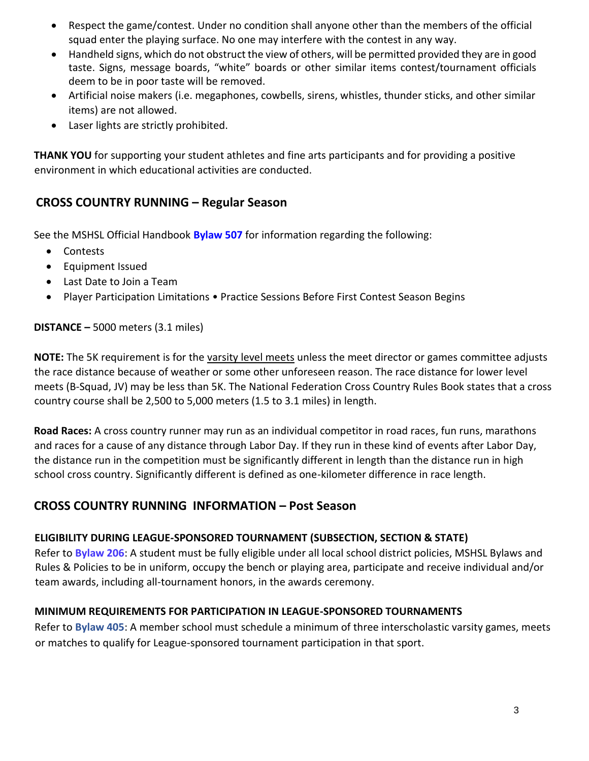- Respect the game/contest. Under no condition shall anyone other than the members of the official squad enter the playing surface. No one may interfere with the contest in any way.
- Handheld signs, which do not obstruct the view of others, will be permitted provided they are in good taste. Signs, message boards, "white" boards or other similar items contest/tournament officials deem to be in poor taste will be removed.
- Artificial noise makers (i.e. megaphones, cowbells, sirens, whistles, thunder sticks, and other similar items) are not allowed.
- Laser lights are strictly prohibited.

**THANK YOU** for supporting your student athletes and fine arts participants and for providing a positive environment in which educational activities are conducted.

# **CROSS COUNTRY RUNNING – Regular Season**

See the MSHSL Official Handbook **[Bylaw 507](http://www.mshsl.org/mshsl/publications/code/handbook/500%20Bylaws.doc)** [fo](http://www.mshsl.org/mshsl/publications/code/handbook/500%20Bylaws.doc)r information regarding the following:

- Contests
- Equipment Issued
- Last Date to Join a Team
- Player Participation Limitations Practice Sessions Before First Contest Season Begins

### **DISTANCE –** 5000 meters (3.1 miles)

**NOTE:** The 5K requirement is for the varsity level meets unless the meet director or games committee adjusts the race distance because of weather or some other unforeseen reason. The race distance for lower level meets (B-Squad, JV) may be less than 5K. The National Federation Cross Country Rules Book states that a cross country course shall be 2,500 to 5,000 meters (1.5 to 3.1 miles) in length.

**Road Races:** A cross country runner may run as an individual competitor in road races, fun runs, marathons and races for a cause of any distance through Labor Day. If they run in these kind of events after Labor Day, the distance run in the competition must be significantly different in length than the distance run in high school cross country. Significantly different is defined as one-kilometer difference in race length.

# **CROSS COUNTRY RUNNING INFORMATION – Post Season**

## **ELIGIBILITY DURING LEAGUE-SPONSORED TOURNAMENT (SUBSECTION, SECTION & STATE)**

Refer to **Bylaw 206**: A student must be fully eligible under all local school district policies, MSHSL Bylaws and Rules & Policies to be in uniform, occupy the bench or playing area, participate and receive individual and/or team awards, including all-tournament honors, in the awards ceremony.

## **MINIMUM REQUIREMENTS FOR PARTICIPATION IN LEAGUE-SPONSORED TOURNAMENTS**

Refer to **Bylaw 405**: A member school must schedule a minimum of three interscholastic varsity games, meets or matches to qualify for League-sponsored tournament participation in that sport.